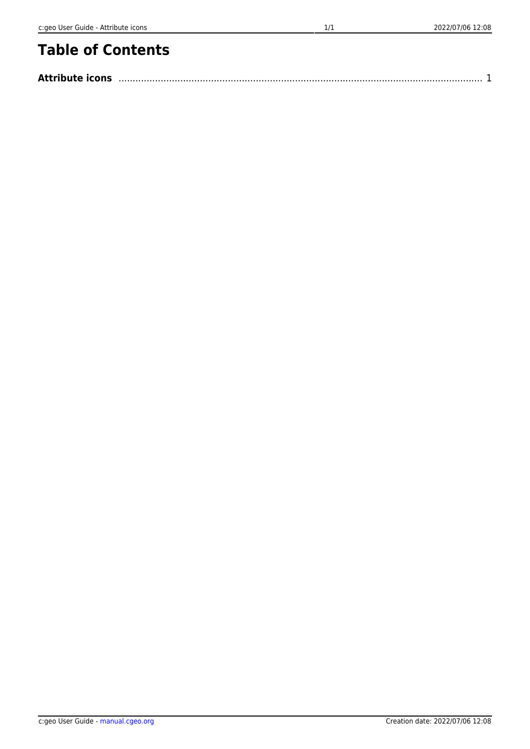## **Table of Contents**

| <b>Attribute icons</b> |  |  |
|------------------------|--|--|
|------------------------|--|--|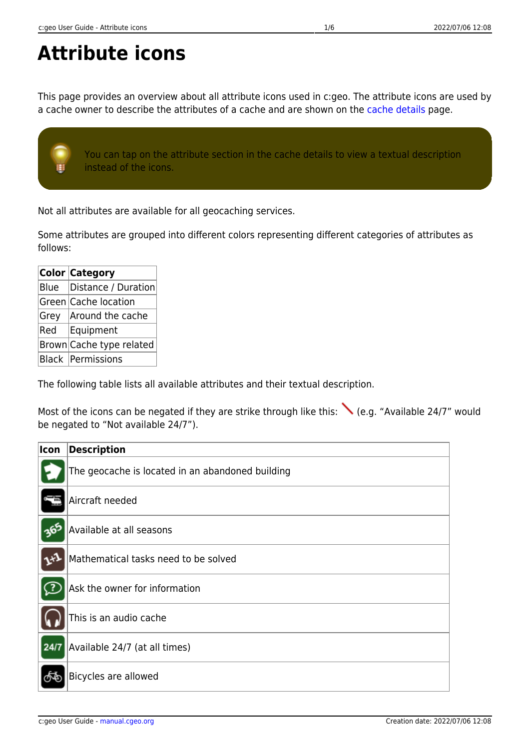## <span id="page-1-0"></span>**Attribute icons**

This page provides an overview about all attribute icons used in c:geo. The attribute icons are used by a cache owner to describe the attributes of a cache and are shown on the [cache details](#page--1-0) page.

You can tap on the attribute section in the cache details to view a textual description instead of the icons.

Not all attributes are available for all geocaching services.

Some attributes are grouped into different colors representing different categories of attributes as follows:

|      | <b>Color Category</b>      |
|------|----------------------------|
| Blue | Distance / Duration        |
|      | Green Cache location       |
| Grey | Around the cache           |
| Red  | Equipment                  |
|      | Brown Cache type related   |
|      | <b>Black   Permissions</b> |

The following table lists all available attributes and their textual description.

Most of the icons can be negated if they are strike through like this: (e.g. "Available 24/7" would be negated to "Not available 24/7").

| Icon                                                                                         | <b>Description</b>                               |
|----------------------------------------------------------------------------------------------|--------------------------------------------------|
|                                                                                              | The geocache is located in an abandoned building |
| Ņ                                                                                            | Aircraft needed                                  |
| 365                                                                                          | Available at all seasons                         |
|                                                                                              | Mathematical tasks need to be solved             |
| $\mathbf{E}% _{t}\left  \mathcal{F}_{t}\right  =\mathbf{E}_{t}\left  \mathcal{F}_{t}\right $ | Ask the owner for information                    |
|                                                                                              | This is an audio cache                           |
| 24/7                                                                                         | Available 24/7 (at all times)                    |
| ලුව                                                                                          | Bicycles are allowed                             |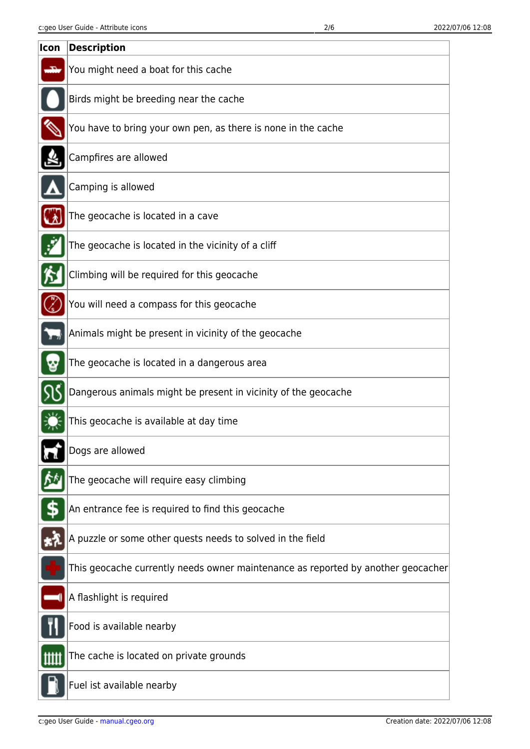| Icon | <b>Description</b>                                                               |
|------|----------------------------------------------------------------------------------|
|      | You might need a boat for this cache                                             |
|      | Birds might be breeding near the cache                                           |
|      | You have to bring your own pen, as there is none in the cache                    |
|      | Campfires are allowed                                                            |
|      | Camping is allowed                                                               |
|      | The geocache is located in a cave                                                |
| Ż    | The geocache is located in the vicinity of a cliff                               |
|      | Climbing will be required for this geocache                                      |
|      | You will need a compass for this geocache                                        |
|      | Animals might be present in vicinity of the geocache                             |
|      | The geocache is located in a dangerous area                                      |
|      | Dangerous animals might be present in vicinity of the geocache                   |
|      | This geocache is available at day time                                           |
|      | Dogs are allowed                                                                 |
|      | The geocache will require easy climbing                                          |
|      | An entrance fee is required to find this geocache                                |
|      | A puzzle or some other quests needs to solved in the field                       |
|      | This geocache currently needs owner maintenance as reported by another geocacher |
|      | A flashlight is required                                                         |
|      | Food is available nearby                                                         |
| Ш    | The cache is located on private grounds                                          |
|      | Fuel ist available nearby                                                        |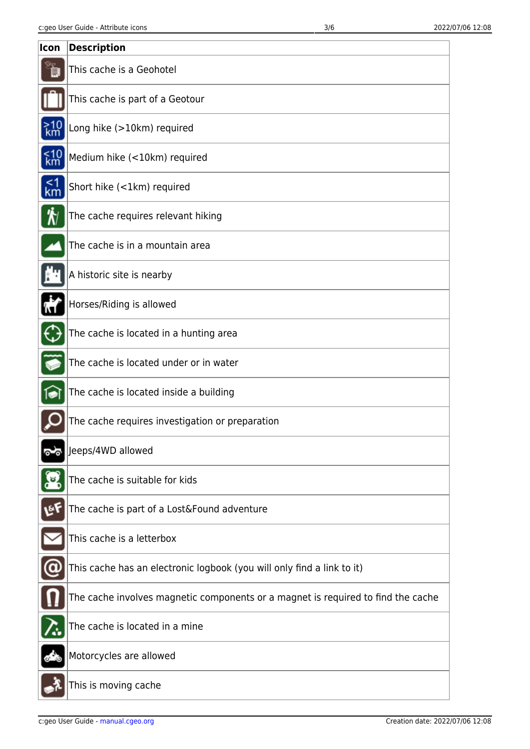| Icon             | <b>Description</b>                                                               |
|------------------|----------------------------------------------------------------------------------|
|                  | This cache is a Geohotel                                                         |
|                  | This cache is part of a Geotour                                                  |
| $\frac{>10}{km}$ | Long hike (>10km) required                                                       |
| $km10$           | Medium hike (<10km) required                                                     |
| $1$ km           | Short hike (<1km) required                                                       |
| ₩                | The cache requires relevant hiking                                               |
|                  | The cache is in a mountain area                                                  |
|                  | A historic site is nearby                                                        |
|                  | Horses/Riding is allowed                                                         |
|                  | The cache is located in a hunting area                                           |
|                  | The cache is located under or in water                                           |
|                  | The cache is located inside a building                                           |
|                  | The cache requires investigation or preparation                                  |
|                  | Jeeps/4WD allowed                                                                |
|                  | The cache is suitable for kids                                                   |
| LEF              | The cache is part of a Lost&Found adventure                                      |
|                  | This cache is a letterbox                                                        |
|                  | This cache has an electronic logbook (you will only find a link to it)           |
|                  | The cache involves magnetic components or a magnet is required to find the cache |
|                  | The cache is located in a mine                                                   |
|                  | Motorcycles are allowed                                                          |
|                  | This is moving cache                                                             |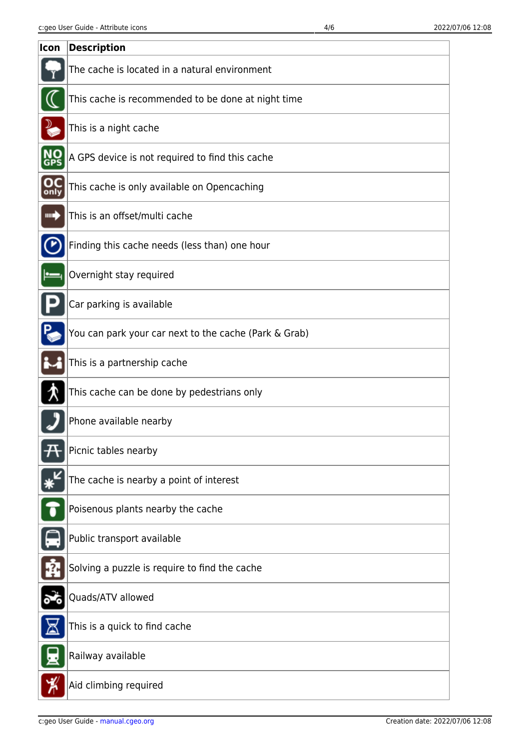| Icon | <b>Description</b>                                    |
|------|-------------------------------------------------------|
|      | The cache is located in a natural environment         |
|      | This cache is recommended to be done at night time    |
|      | This is a night cache                                 |
|      | A GPS device is not required to find this cache       |
| only | This cache is only available on Opencaching           |
| ┉◆   | This is an offset/multi cache                         |
|      | Finding this cache needs (less than) one hour         |
|      | Overnight stay required                               |
|      | Car parking is available                              |
|      | You can park your car next to the cache (Park & Grab) |
|      | This is a partnership cache                           |
|      | This cache can be done by pedestrians only            |
|      | Phone available nearby                                |
|      | Picnic tables nearby                                  |
|      | The cache is nearby a point of interest               |
|      | Poisenous plants nearby the cache                     |
|      | Public transport available                            |
|      | Solving a puzzle is require to find the cache         |
|      | Quads/ATV allowed                                     |
|      | This is a quick to find cache                         |
|      | Railway available                                     |
|      | Aid climbing required                                 |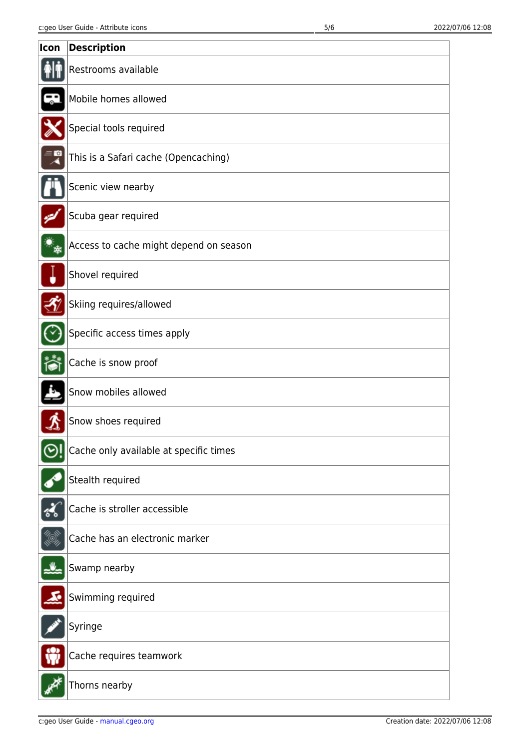| Icon | <b>Description</b>                     |
|------|----------------------------------------|
|      | Restrooms available                    |
|      | Mobile homes allowed                   |
|      | Special tools required                 |
|      | This is a Safari cache (Opencaching)   |
|      | Scenic view nearby                     |
|      | Scuba gear required                    |
|      | Access to cache might depend on season |
|      | Shovel required                        |
|      | Skiing requires/allowed                |
|      | Specific access times apply            |
|      | Cache is snow proof                    |
|      | Snow mobiles allowed                   |
|      | Snow shoes required                    |
|      | Cache only available at specific times |
|      | Stealth required                       |
|      | Cache is stroller accessible           |
|      | Cache has an electronic marker         |
|      | Swamp nearby                           |
|      | Swimming required                      |
|      | Syringe                                |
|      | Cache requires teamwork                |
|      | Thorns nearby                          |